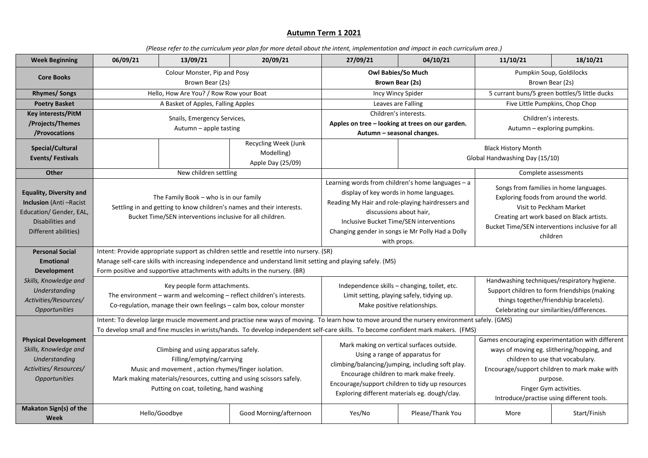## **Autumn Term 1 2021**

*(Please refer to the curriculum year plan for more detail about the intent, implementation and impact in each curriculum area.)*

| <b>Week Beginning</b>                                                                                                                  | 06/09/21                                                                                                                                                                                                                                                                                                                                                                          | 13/09/21                           | 20/09/21                                                                  | 27/09/21                                                                                                                                                                                                                                                                                   | 04/10/21         | 11/10/21                                                                                                                                                                                                                                                              | 18/10/21     |  |
|----------------------------------------------------------------------------------------------------------------------------------------|-----------------------------------------------------------------------------------------------------------------------------------------------------------------------------------------------------------------------------------------------------------------------------------------------------------------------------------------------------------------------------------|------------------------------------|---------------------------------------------------------------------------|--------------------------------------------------------------------------------------------------------------------------------------------------------------------------------------------------------------------------------------------------------------------------------------------|------------------|-----------------------------------------------------------------------------------------------------------------------------------------------------------------------------------------------------------------------------------------------------------------------|--------------|--|
| <b>Core Books</b>                                                                                                                      | Colour Monster, Pip and Posy<br>Brown Bear (2s)                                                                                                                                                                                                                                                                                                                                   |                                    |                                                                           | Owl Babies/So Much<br>Brown Bear (2s)                                                                                                                                                                                                                                                      |                  | Pumpkin Soup, Goldilocks<br>Brown Bear (2s)                                                                                                                                                                                                                           |              |  |
| <b>Rhymes/Songs</b>                                                                                                                    | Hello, How Are You? / Row Row your Boat                                                                                                                                                                                                                                                                                                                                           |                                    |                                                                           | Incy Wincy Spider                                                                                                                                                                                                                                                                          |                  | 5 currant buns/5 green bottles/5 little ducks                                                                                                                                                                                                                         |              |  |
| <b>Poetry Basket</b>                                                                                                                   |                                                                                                                                                                                                                                                                                                                                                                                   | A Basket of Apples, Falling Apples |                                                                           | Leaves are Falling                                                                                                                                                                                                                                                                         |                  | Five Little Pumpkins, Chop Chop                                                                                                                                                                                                                                       |              |  |
| Key interests/PitM<br>/Projects/Themes<br>/Provocations                                                                                | Snails, Emergency Services,<br>Autumn - apple tasting                                                                                                                                                                                                                                                                                                                             |                                    |                                                                           | Children's interests.<br>Apples on tree - looking at trees on our garden.<br>Autumn - seasonal changes.                                                                                                                                                                                    |                  | Children's interests.<br>Autumn - exploring pumpkins.                                                                                                                                                                                                                 |              |  |
| Special/Cultural<br>Events/Festivals                                                                                                   |                                                                                                                                                                                                                                                                                                                                                                                   |                                    | Recycling Week (Junk<br>Modelling)<br>Apple Day (25/09)                   |                                                                                                                                                                                                                                                                                            |                  | <b>Black History Month</b><br>Global Handwashing Day (15/10)                                                                                                                                                                                                          |              |  |
| Other                                                                                                                                  |                                                                                                                                                                                                                                                                                                                                                                                   | New children settling              |                                                                           |                                                                                                                                                                                                                                                                                            |                  | Complete assessments                                                                                                                                                                                                                                                  |              |  |
| <b>Equality, Diversity and</b><br><b>Inclusion</b> (Anti-Racist<br>Education/ Gender, EAL,<br>Disabilities and<br>Different abilities) | The Family Book - who is in our family<br>Settling in and getting to know children's names and their interests.<br>Bucket Time/SEN interventions inclusive for all children.                                                                                                                                                                                                      |                                    |                                                                           | Learning words from children's home languages - a<br>display of key words in home languages.<br>Reading My Hair and role-playing hairdressers and<br>discussions about hair,<br>Inclusive Bucket Time/SEN interventions<br>Changing gender in songs ie Mr Polly Had a Dolly<br>with props. |                  | Songs from families in home languages.<br>Exploring foods from around the world.<br>Visit to Peckham Market<br>Creating art work based on Black artists.<br>Bucket Time/SEN interventions inclusive for all<br>children                                               |              |  |
| <b>Personal Social</b>                                                                                                                 | Intent: Provide appropriate support as children settle and resettle into nursery. (SR)                                                                                                                                                                                                                                                                                            |                                    |                                                                           |                                                                                                                                                                                                                                                                                            |                  |                                                                                                                                                                                                                                                                       |              |  |
| <b>Emotional</b>                                                                                                                       | Manage self-care skills with increasing independence and understand limit setting and playing safely. (MS)                                                                                                                                                                                                                                                                        |                                    |                                                                           |                                                                                                                                                                                                                                                                                            |                  |                                                                                                                                                                                                                                                                       |              |  |
| <b>Development</b>                                                                                                                     |                                                                                                                                                                                                                                                                                                                                                                                   |                                    | Form positive and supportive attachments with adults in the nursery. (BR) |                                                                                                                                                                                                                                                                                            |                  |                                                                                                                                                                                                                                                                       |              |  |
| Skills, Knowledge and<br>Understanding<br>Activities/Resources/<br><b>Opportunities</b>                                                | Key people form attachments.<br>The environment – warm and welcoming – reflect children's interests.<br>Co-regulation, manage their own feelings - calm box, colour monster                                                                                                                                                                                                       |                                    |                                                                           | Independence skills - changing, toilet, etc.<br>Limit setting, playing safely, tidying up.<br>Make positive relationships.                                                                                                                                                                 |                  | Handwashing techniques/respiratory hygiene.<br>Support children to form friendships (making<br>things together/friendship bracelets).<br>Celebrating our similarities/differences.                                                                                    |              |  |
|                                                                                                                                        | Intent: To develop large muscle movement and practise new ways of moving. To learn how to move around the nursery environment safely. (GMS)                                                                                                                                                                                                                                       |                                    |                                                                           |                                                                                                                                                                                                                                                                                            |                  |                                                                                                                                                                                                                                                                       |              |  |
| <b>Physical Development</b><br>Skills, Knowledge and<br>Understanding<br>Activities/Resources/<br>Opportunities                        | To develop small and fine muscles in wrists/hands. To develop independent self-care skills. To become confident mark makers. (FMS)<br>Climbing and using apparatus safely.<br>Filling/emptying/carrying<br>Music and movement, action rhymes/finger isolation.<br>Mark making materials/resources, cutting and using scissors safely.<br>Putting on coat, toileting, hand washing |                                    |                                                                           | Mark making on vertical surfaces outside.<br>Using a range of apparatus for<br>climbing/balancing/jumping, including soft play.<br>Encourage children to mark make freely.<br>Encourage/support children to tidy up resources<br>Exploring different materials eg. dough/clay.             |                  | Games encouraging experimentation with different<br>ways of moving eg. slithering/hopping, and<br>children to use that vocabulary.<br>Encourage/support children to mark make with<br>purpose.<br>Finger Gym activities.<br>Introduce/practise using different tools. |              |  |
| Makaton Sign(s) of the<br>Week                                                                                                         |                                                                                                                                                                                                                                                                                                                                                                                   | Hello/Goodbye                      | Good Morning/afternoon                                                    | Yes/No                                                                                                                                                                                                                                                                                     | Please/Thank You | More                                                                                                                                                                                                                                                                  | Start/Finish |  |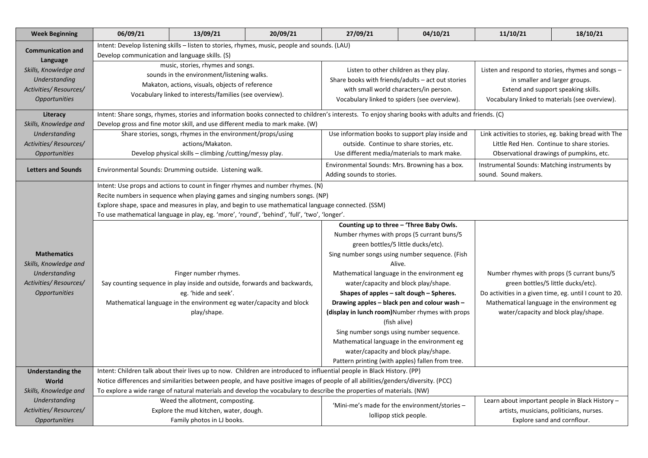| <b>Week Beginning</b>     | 06/09/21                                                                                                                                                                                      | 13/09/21 | 20/09/21                                    | 27/09/21                                                                                                                                                                              | 04/10/21                                         | 11/10/21                                                                                                                  | 18/10/21                                     |                    |                                             |
|---------------------------|-----------------------------------------------------------------------------------------------------------------------------------------------------------------------------------------------|----------|---------------------------------------------|---------------------------------------------------------------------------------------------------------------------------------------------------------------------------------------|--------------------------------------------------|---------------------------------------------------------------------------------------------------------------------------|----------------------------------------------|--------------------|---------------------------------------------|
| <b>Communication and</b>  | Intent: Develop listening skills - listen to stories, rhymes, music, people and sounds. (LAU)                                                                                                 |          |                                             |                                                                                                                                                                                       |                                                  |                                                                                                                           |                                              |                    |                                             |
| Language                  | Develop communication and language skills. (S)                                                                                                                                                |          |                                             |                                                                                                                                                                                       |                                                  |                                                                                                                           |                                              |                    |                                             |
| Skills, Knowledge and     | music, stories, rhymes and songs.<br>sounds in the environment/listening walks.<br>Makaton, actions, visuals, objects of reference<br>Vocabulary linked to interests/families (see overview). |          |                                             | Listen to other children as they play.<br>Share books with friends/adults - act out stories<br>with small world characters/in person.<br>Vocabulary linked to spiders (see overview). |                                                  | Listen and respond to stories, rhymes and songs -<br>in smaller and larger groups.<br>Extend and support speaking skills. |                                              |                    |                                             |
| Understanding             |                                                                                                                                                                                               |          |                                             |                                                                                                                                                                                       |                                                  |                                                                                                                           |                                              |                    |                                             |
| Activities/Resources/     |                                                                                                                                                                                               |          |                                             |                                                                                                                                                                                       |                                                  |                                                                                                                           |                                              |                    |                                             |
| <b>Opportunities</b>      |                                                                                                                                                                                               |          |                                             |                                                                                                                                                                                       |                                                  | Vocabulary linked to materials (see overview).                                                                            |                                              |                    |                                             |
| Literacy                  | Intent: Share songs, rhymes, stories and information books connected to children's interests. To enjoy sharing books with adults and friends. (C)                                             |          |                                             |                                                                                                                                                                                       |                                                  |                                                                                                                           |                                              |                    |                                             |
| Skills, Knowledge and     | Develop gross and fine motor skill, and use different media to mark make. (W)                                                                                                                 |          |                                             |                                                                                                                                                                                       |                                                  |                                                                                                                           |                                              |                    |                                             |
| Understanding             | Share stories, songs, rhymes in the environment/props/using                                                                                                                                   |          |                                             | Use information books to support play inside and                                                                                                                                      |                                                  | Link activities to stories, eg. baking bread with The                                                                     |                                              |                    |                                             |
| Activities/Resources/     | actions/Makaton.                                                                                                                                                                              |          |                                             | outside. Continue to share stories, etc.                                                                                                                                              |                                                  | Little Red Hen. Continue to share stories.                                                                                |                                              |                    |                                             |
| <b>Opportunities</b>      | Develop physical skills - climbing / cutting/messy play.                                                                                                                                      |          | Use different media/materials to mark make. |                                                                                                                                                                                       | Observational drawings of pumpkins, etc.         |                                                                                                                           |                                              |                    |                                             |
| <b>Letters and Sounds</b> | Environmental Sounds: Drumming outside. Listening walk.                                                                                                                                       |          |                                             | Environmental Sounds: Mrs. Browning has a box.<br>Adding sounds to stories.                                                                                                           |                                                  | Instrumental Sounds: Matching instruments by<br>sound. Sound makers.                                                      |                                              |                    |                                             |
|                           | Intent: Use props and actions to count in finger rhymes and number rhymes. (N)                                                                                                                |          |                                             |                                                                                                                                                                                       |                                                  |                                                                                                                           |                                              |                    |                                             |
|                           | Recite numbers in sequence when playing games and singing numbers songs. (NP)                                                                                                                 |          |                                             |                                                                                                                                                                                       |                                                  |                                                                                                                           |                                              |                    |                                             |
|                           | Explore shape, space and measures in play, and begin to use mathematical language connected. (SSM)                                                                                            |          |                                             |                                                                                                                                                                                       |                                                  |                                                                                                                           |                                              |                    |                                             |
|                           | To use mathematical language in play, eg. 'more', 'round', 'behind', 'full', 'two', 'longer'.                                                                                                 |          |                                             |                                                                                                                                                                                       |                                                  |                                                                                                                           |                                              |                    |                                             |
|                           | Counting up to three - 'Three Baby Owls.                                                                                                                                                      |          |                                             |                                                                                                                                                                                       |                                                  |                                                                                                                           |                                              |                    |                                             |
|                           | Finger number rhymes.<br>Say counting sequence in play inside and outside, forwards and backwards,<br>eg. 'hide and seek'.                                                                    |          |                                             | Number rhymes with props (5 currant buns/5<br>green bottles/5 little ducks/etc).<br>Sing number songs using number sequence. (Fish<br>Alive.                                          |                                                  |                                                                                                                           |                                              |                    |                                             |
|                           |                                                                                                                                                                                               |          |                                             |                                                                                                                                                                                       |                                                  |                                                                                                                           |                                              | <b>Mathematics</b> |                                             |
| Skills, Knowledge and     |                                                                                                                                                                                               |          |                                             |                                                                                                                                                                                       |                                                  |                                                                                                                           |                                              |                    |                                             |
| Understanding             |                                                                                                                                                                                               |          |                                             |                                                                                                                                                                                       |                                                  |                                                                                                                           |                                              |                    | Mathematical language in the environment eg |
| Activities/Resources/     |                                                                                                                                                                                               |          |                                             | water/capacity and block play/shape.<br>Shapes of apples - salt dough - Spheres.                                                                                                      |                                                  | green bottles/5 little ducks/etc).<br>Do activities in a given time, eg. until I count to 20.                             |                                              |                    |                                             |
| <b>Opportunities</b>      |                                                                                                                                                                                               |          |                                             |                                                                                                                                                                                       |                                                  |                                                                                                                           |                                              |                    |                                             |
|                           |                                                                                                                                                                                               |          |                                             | Mathematical language in the environment eg water/capacity and block                                                                                                                  |                                                  |                                                                                                                           | Drawing apples – black pen and colour wash – |                    | Mathematical language in the environment eg |
|                           | play/shape.                                                                                                                                                                                   |          |                                             |                                                                                                                                                                                       | (display in lunch room) Number rhymes with props | water/capacity and block play/shape.                                                                                      |                                              |                    |                                             |
|                           |                                                                                                                                                                                               |          |                                             | (fish alive)                                                                                                                                                                          |                                                  |                                                                                                                           |                                              |                    |                                             |
|                           |                                                                                                                                                                                               |          |                                             |                                                                                                                                                                                       | Sing number songs using number sequence.         |                                                                                                                           |                                              |                    |                                             |
|                           |                                                                                                                                                                                               |          |                                             |                                                                                                                                                                                       | Mathematical language in the environment eg      |                                                                                                                           |                                              |                    |                                             |
|                           |                                                                                                                                                                                               |          |                                             | water/capacity and block play/shape.                                                                                                                                                  |                                                  |                                                                                                                           |                                              |                    |                                             |
|                           | Pattern printing (with apples) fallen from tree.                                                                                                                                              |          |                                             |                                                                                                                                                                                       |                                                  |                                                                                                                           |                                              |                    |                                             |
| <b>Understanding the</b>  | Intent: Children talk about their lives up to now. Children are introduced to influential people in Black History. (PP)                                                                       |          |                                             |                                                                                                                                                                                       |                                                  |                                                                                                                           |                                              |                    |                                             |
| <b>World</b>              | Notice differences and similarities between people, and have positive images of people of all abilities/genders/diversity. (PCC)                                                              |          |                                             |                                                                                                                                                                                       |                                                  |                                                                                                                           |                                              |                    |                                             |
| Skills, Knowledge and     | To explore a wide range of natural materials and develop the vocabulary to describe the properties of materials. (NW)                                                                         |          |                                             |                                                                                                                                                                                       |                                                  |                                                                                                                           |                                              |                    |                                             |
| Understanding             | Weed the allotment, composting.<br>Explore the mud kitchen, water, dough.                                                                                                                     |          |                                             | 'Mini-me's made for the environment/stories -                                                                                                                                         | Learn about important people in Black History -  |                                                                                                                           |                                              |                    |                                             |
| Activities/Resources/     |                                                                                                                                                                                               |          | lollipop stick people.                      |                                                                                                                                                                                       | artists, musicians, politicians, nurses.         |                                                                                                                           |                                              |                    |                                             |
| <b>Opportunities</b>      | Family photos in LJ books.                                                                                                                                                                    |          |                                             |                                                                                                                                                                                       | Explore sand and cornflour.                      |                                                                                                                           |                                              |                    |                                             |